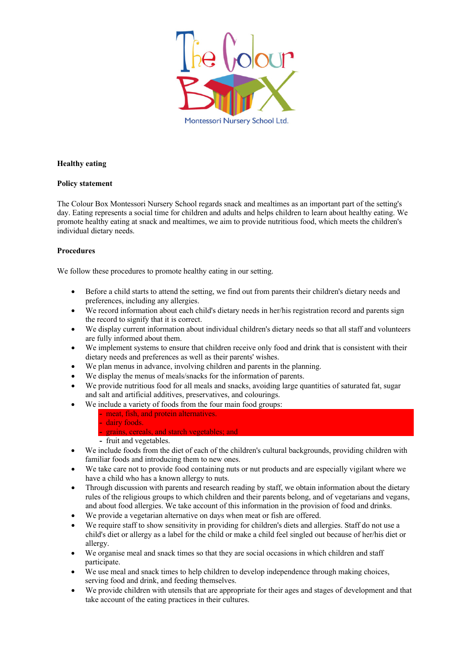

## **Healthy eating**

## **Policy statement**

The Colour Box Montessori Nursery School regards snack and mealtimes as an important part of the setting's day. Eating represents a social time for children and adults and helps children to learn about healthy eating. We promote healthy eating at snack and mealtimes, we aim to provide nutritious food, which meets the children's individual dietary needs.

## **Procedures**

We follow these procedures to promote healthy eating in our setting.

- Before a child starts to attend the setting, we find out from parents their children's dietary needs and preferences, including any allergies.
- We record information about each child's dietary needs in her/his registration record and parents sign the record to signify that it is correct.
- We display current information about individual children's dietary needs so that all staff and volunteers are fully informed about them.
- We implement systems to ensure that children receive only food and drink that is consistent with their dietary needs and preferences as well as their parents' wishes.
- We plan menus in advance, involving children and parents in the planning.
- We display the menus of meals/snacks for the information of parents.
- We provide nutritious food for all meals and snacks, avoiding large quantities of saturated fat, sugar and salt and artificial additives, preservatives, and colourings.
- We include a variety of foods from the four main food groups:

**-** meat, fish, and protein alternatives. **-** dairy foods.

- **-** grains, cereals, and starch vegetables; and
- **-** fruit and vegetables.
- We include foods from the diet of each of the children's cultural backgrounds, providing children with familiar foods and introducing them to new ones.
- We take care not to provide food containing nuts or nut products and are especially vigilant where we have a child who has a known allergy to nuts.
- Through discussion with parents and research reading by staff, we obtain information about the dietary rules of the religious groups to which children and their parents belong, and of vegetarians and vegans, and about food allergies. We take account of this information in the provision of food and drinks.
- We provide a vegetarian alternative on days when meat or fish are offered.
- We require staff to show sensitivity in providing for children's diets and allergies. Staff do not use a child's diet or allergy as a label for the child or make a child feel singled out because of her/his diet or allergy.
- We organise meal and snack times so that they are social occasions in which children and staff participate.
- We use meal and snack times to help children to develop independence through making choices, serving food and drink, and feeding themselves.
- We provide children with utensils that are appropriate for their ages and stages of development and that take account of the eating practices in their cultures.